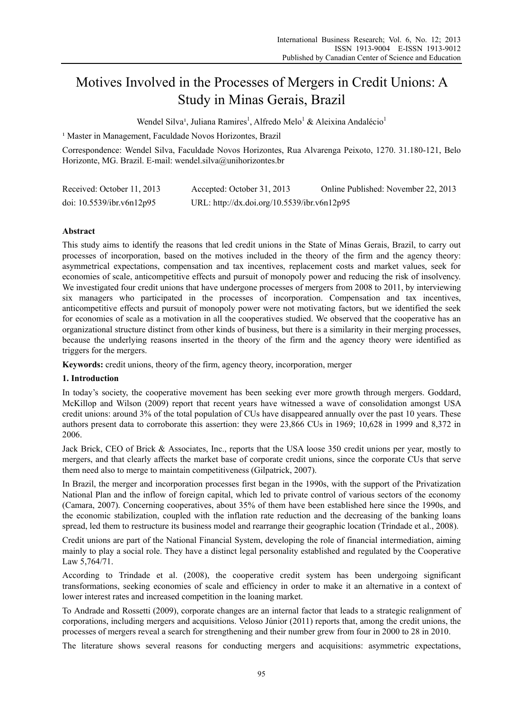# Motives Involved in the Processes of Mergers in Credit Unions: A Study in Minas Gerais, Brazil

Wendel Silva<sup>1</sup>, Juliana Ramires<sup>1</sup>, Alfredo Melo<sup>1</sup> & Aleixina Andalécio<sup>1</sup>

<sup>1</sup> Master in Management, Faculdade Novos Horizontes, Brazil

Correspondence: Wendel Silva, Faculdade Novos Horizontes, Rua Alvarenga Peixoto, 1270. 31.180-121, Belo Horizonte, MG. Brazil. E-mail: wendel.silva@unihorizontes.br

| Received: October 11, 2013   | Accepted: October 31, 2013                  | Online Published: November 22, 2013 |
|------------------------------|---------------------------------------------|-------------------------------------|
| doi: $10.5539$ /ibr.v6n12p95 | URL: http://dx.doi.org/10.5539/ibr.v6n12p95 |                                     |

# **Abstract**

This study aims to identify the reasons that led credit unions in the State of Minas Gerais, Brazil, to carry out processes of incorporation, based on the motives included in the theory of the firm and the agency theory: asymmetrical expectations, compensation and tax incentives, replacement costs and market values, seek for economies of scale, anticompetitive effects and pursuit of monopoly power and reducing the risk of insolvency. We investigated four credit unions that have undergone processes of mergers from 2008 to 2011, by interviewing six managers who participated in the processes of incorporation. Compensation and tax incentives, anticompetitive effects and pursuit of monopoly power were not motivating factors, but we identified the seek for economies of scale as a motivation in all the cooperatives studied. We observed that the cooperative has an organizational structure distinct from other kinds of business, but there is a similarity in their merging processes, because the underlying reasons inserted in the theory of the firm and the agency theory were identified as triggers for the mergers.

**Keywords:** credit unions, theory of the firm, agency theory, incorporation, merger

#### **1. Introduction**

In today's society, the cooperative movement has been seeking ever more growth through mergers. Goddard, McKillop and Wilson (2009) report that recent years have witnessed a wave of consolidation amongst USA credit unions: around 3% of the total population of CUs have disappeared annually over the past 10 years. These authors present data to corroborate this assertion: they were 23,866 CUs in 1969; 10,628 in 1999 and 8,372 in 2006.

Jack Brick, CEO of Brick & Associates, Inc., reports that the USA loose 350 credit unions per year, mostly to mergers, and that clearly affects the market base of corporate credit unions, since the corporate CUs that serve them need also to merge to maintain competitiveness (Gilpatrick, 2007).

In Brazil, the merger and incorporation processes first began in the 1990s, with the support of the Privatization National Plan and the inflow of foreign capital, which led to private control of various sectors of the economy (Camara, 2007). Concerning cooperatives, about 35% of them have been established here since the 1990s, and the economic stabilization, coupled with the inflation rate reduction and the decreasing of the banking loans spread, led them to restructure its business model and rearrange their geographic location (Trindade et al., 2008).

Credit unions are part of the National Financial System, developing the role of financial intermediation, aiming mainly to play a social role. They have a distinct legal personality established and regulated by the Cooperative Law 5,764/71.

According to Trindade et al. (2008), the cooperative credit system has been undergoing significant transformations, seeking economies of scale and efficiency in order to make it an alternative in a context of lower interest rates and increased competition in the loaning market.

To Andrade and Rossetti (2009), corporate changes are an internal factor that leads to a strategic realignment of corporations, including mergers and acquisitions. Veloso Júnior (2011) reports that, among the credit unions, the processes of mergers reveal a search for strengthening and their number grew from four in 2000 to 28 in 2010.

The literature shows several reasons for conducting mergers and acquisitions: asymmetric expectations,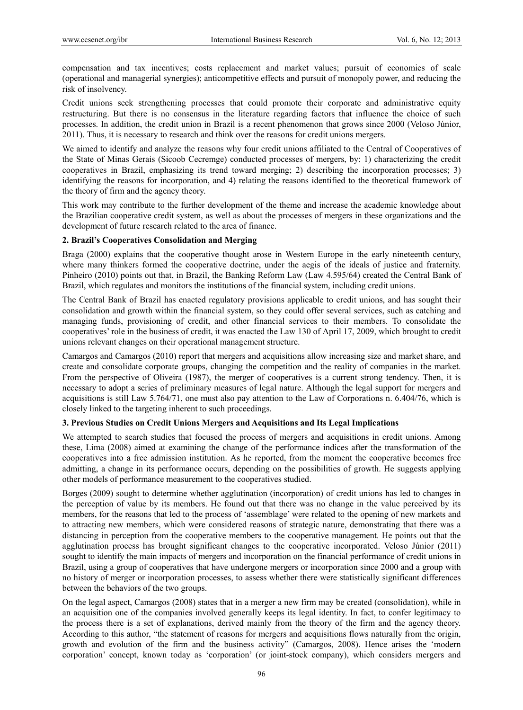compensation and tax incentives; costs replacement and market values; pursuit of economies of scale (operational and managerial synergies); anticompetitive effects and pursuit of monopoly power, and reducing the risk of insolvency.

Credit unions seek strengthening processes that could promote their corporate and administrative equity restructuring. But there is no consensus in the literature regarding factors that influence the choice of such processes. In addition, the credit union in Brazil is a recent phenomenon that grows since 2000 (Veloso Júnior, 2011). Thus, it is necessary to research and think over the reasons for credit unions mergers.

We aimed to identify and analyze the reasons why four credit unions affiliated to the Central of Cooperatives of the State of Minas Gerais (Sicoob Cecremge) conducted processes of mergers, by: 1) characterizing the credit cooperatives in Brazil, emphasizing its trend toward merging; 2) describing the incorporation processes; 3) identifying the reasons for incorporation, and 4) relating the reasons identified to the theoretical framework of the theory of firm and the agency theory.

This work may contribute to the further development of the theme and increase the academic knowledge about the Brazilian cooperative credit system, as well as about the processes of mergers in these organizations and the development of future research related to the area of finance.

# **2. Brazil's Cooperatives Consolidation and Merging**

Braga (2000) explains that the cooperative thought arose in Western Europe in the early nineteenth century, where many thinkers formed the cooperative doctrine, under the aegis of the ideals of justice and fraternity. Pinheiro (2010) points out that, in Brazil, the Banking Reform Law (Law 4.595/64) created the Central Bank of Brazil, which regulates and monitors the institutions of the financial system, including credit unions.

The Central Bank of Brazil has enacted regulatory provisions applicable to credit unions, and has sought their consolidation and growth within the financial system, so they could offer several services, such as catching and managing funds, provisioning of credit, and other financial services to their members. To consolidate the cooperatives' role in the business of credit, it was enacted the Law 130 of April 17, 2009, which brought to credit unions relevant changes on their operational management structure.

Camargos and Camargos (2010) report that mergers and acquisitions allow increasing size and market share, and create and consolidate corporate groups, changing the competition and the reality of companies in the market. From the perspective of Oliveira (1987), the merger of cooperatives is a current strong tendency. Then, it is necessary to adopt a series of preliminary measures of legal nature. Although the legal support for mergers and acquisitions is still Law 5.764/71, one must also pay attention to the Law of Corporations n. 6.404/76, which is closely linked to the targeting inherent to such proceedings.

# **3. Previous Studies on Credit Unions Mergers and Acquisitions and Its Legal Implications**

We attempted to search studies that focused the process of mergers and acquisitions in credit unions. Among these, Lima (2008) aimed at examining the change of the performance indices after the transformation of the cooperatives into a free admission institution. As he reported, from the moment the cooperative becomes free admitting, a change in its performance occurs, depending on the possibilities of growth. He suggests applying other models of performance measurement to the cooperatives studied.

Borges (2009) sought to determine whether agglutination (incorporation) of credit unions has led to changes in the perception of value by its members. He found out that there was no change in the value perceived by its members, for the reasons that led to the process of 'assemblage' were related to the opening of new markets and to attracting new members, which were considered reasons of strategic nature, demonstrating that there was a distancing in perception from the cooperative members to the cooperative management. He points out that the agglutination process has brought significant changes to the cooperative incorporated. Veloso Júnior (2011) sought to identify the main impacts of mergers and incorporation on the financial performance of credit unions in Brazil, using a group of cooperatives that have undergone mergers or incorporation since 2000 and a group with no history of merger or incorporation processes, to assess whether there were statistically significant differences between the behaviors of the two groups.

On the legal aspect, Camargos (2008) states that in a merger a new firm may be created (consolidation), while in an acquisition one of the companies involved generally keeps its legal identity. In fact, to confer legitimacy to the process there is a set of explanations, derived mainly from the theory of the firm and the agency theory. According to this author, "the statement of reasons for mergers and acquisitions flows naturally from the origin, growth and evolution of the firm and the business activity" (Camargos, 2008). Hence arises the 'modern corporation' concept, known today as 'corporation' (or joint-stock company), which considers mergers and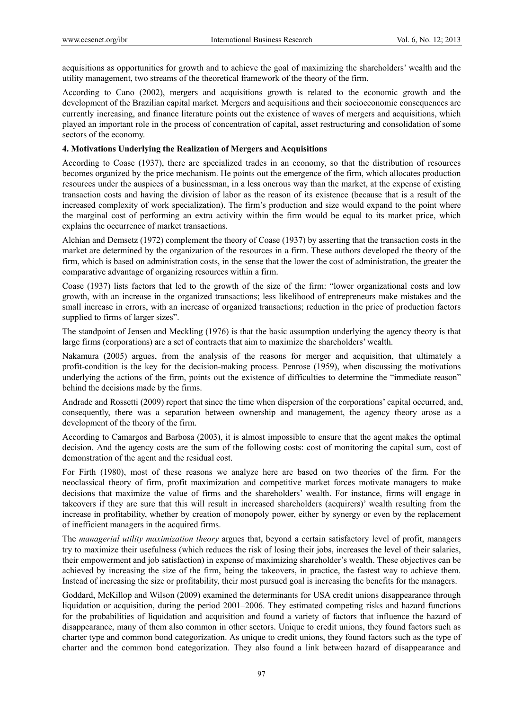acquisitions as opportunities for growth and to achieve the goal of maximizing the shareholders' wealth and the utility management, two streams of the theoretical framework of the theory of the firm.

According to Cano (2002), mergers and acquisitions growth is related to the economic growth and the development of the Brazilian capital market. Mergers and acquisitions and their socioeconomic consequences are currently increasing, and finance literature points out the existence of waves of mergers and acquisitions, which played an important role in the process of concentration of capital, asset restructuring and consolidation of some sectors of the economy.

# **4. Motivations Underlying the Realization of Mergers and Acquisitions**

According to Coase (1937), there are specialized trades in an economy, so that the distribution of resources becomes organized by the price mechanism. He points out the emergence of the firm, which allocates production resources under the auspices of a businessman, in a less onerous way than the market, at the expense of existing transaction costs and having the division of labor as the reason of its existence (because that is a result of the increased complexity of work specialization). The firm's production and size would expand to the point where the marginal cost of performing an extra activity within the firm would be equal to its market price, which explains the occurrence of market transactions.

Alchian and Demsetz (1972) complement the theory of Coase (1937) by asserting that the transaction costs in the market are determined by the organization of the resources in a firm. These authors developed the theory of the firm, which is based on administration costs, in the sense that the lower the cost of administration, the greater the comparative advantage of organizing resources within a firm.

Coase (1937) lists factors that led to the growth of the size of the firm: "lower organizational costs and low growth, with an increase in the organized transactions; less likelihood of entrepreneurs make mistakes and the small increase in errors, with an increase of organized transactions; reduction in the price of production factors supplied to firms of larger sizes".

The standpoint of Jensen and Meckling (1976) is that the basic assumption underlying the agency theory is that large firms (corporations) are a set of contracts that aim to maximize the shareholders' wealth.

Nakamura (2005) argues, from the analysis of the reasons for merger and acquisition, that ultimately a profit-condition is the key for the decision-making process. Penrose (1959), when discussing the motivations underlying the actions of the firm, points out the existence of difficulties to determine the "immediate reason" behind the decisions made by the firms.

Andrade and Rossetti (2009) report that since the time when dispersion of the corporations' capital occurred, and, consequently, there was a separation between ownership and management, the agency theory arose as a development of the theory of the firm.

According to Camargos and Barbosa (2003), it is almost impossible to ensure that the agent makes the optimal decision. And the agency costs are the sum of the following costs: cost of monitoring the capital sum, cost of demonstration of the agent and the residual cost.

For Firth (1980), most of these reasons we analyze here are based on two theories of the firm. For the neoclassical theory of firm, profit maximization and competitive market forces motivate managers to make decisions that maximize the value of firms and the shareholders' wealth. For instance, firms will engage in takeovers if they are sure that this will result in increased shareholders (acquirers)' wealth resulting from the increase in profitability, whether by creation of monopoly power, either by synergy or even by the replacement of inefficient managers in the acquired firms.

The *managerial utility maximization theory* argues that, beyond a certain satisfactory level of profit, managers try to maximize their usefulness (which reduces the risk of losing their jobs, increases the level of their salaries, their empowerment and job satisfaction) in expense of maximizing shareholder's wealth. These objectives can be achieved by increasing the size of the firm, being the takeovers, in practice, the fastest way to achieve them. Instead of increasing the size or profitability, their most pursued goal is increasing the benefits for the managers.

Goddard, McKillop and Wilson (2009) examined the determinants for USA credit unions disappearance through liquidation or acquisition, during the period 2001–2006. They estimated competing risks and hazard functions for the probabilities of liquidation and acquisition and found a variety of factors that influence the hazard of disappearance, many of them also common in other sectors. Unique to credit unions, they found factors such as charter type and common bond categorization. As unique to credit unions, they found factors such as the type of charter and the common bond categorization. They also found a link between hazard of disappearance and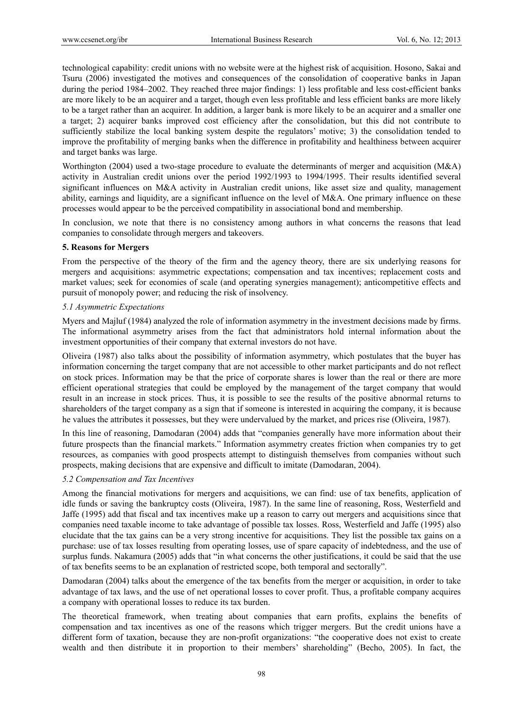technological capability: credit unions with no website were at the highest risk of acquisition. Hosono, Sakai and Tsuru (2006) investigated the motives and consequences of the consolidation of cooperative banks in Japan during the period 1984–2002. They reached three major findings: 1) less profitable and less cost-efficient banks are more likely to be an acquirer and a target, though even less profitable and less efficient banks are more likely to be a target rather than an acquirer. In addition, a larger bank is more likely to be an acquirer and a smaller one a target; 2) acquirer banks improved cost efficiency after the consolidation, but this did not contribute to sufficiently stabilize the local banking system despite the regulators' motive; 3) the consolidation tended to improve the profitability of merging banks when the difference in profitability and healthiness between acquirer and target banks was large.

Worthington (2004) used a two-stage procedure to evaluate the determinants of merger and acquisition (M&A) activity in Australian credit unions over the period 1992/1993 to 1994/1995. Their results identified several significant influences on M&A activity in Australian credit unions, like asset size and quality, management ability, earnings and liquidity, are a significant influence on the level of M&A. One primary influence on these processes would appear to be the perceived compatibility in associational bond and membership.

In conclusion, we note that there is no consistency among authors in what concerns the reasons that lead companies to consolidate through mergers and takeovers.

# **5. Reasons for Mergers**

From the perspective of the theory of the firm and the agency theory, there are six underlying reasons for mergers and acquisitions: asymmetric expectations; compensation and tax incentives; replacement costs and market values; seek for economies of scale (and operating synergies management); anticompetitive effects and pursuit of monopoly power; and reducing the risk of insolvency.

# *5.1 Asymmetric Expectations*

Myers and Majluf (1984) analyzed the role of information asymmetry in the investment decisions made by firms. The informational asymmetry arises from the fact that administrators hold internal information about the investment opportunities of their company that external investors do not have.

Oliveira (1987) also talks about the possibility of information asymmetry, which postulates that the buyer has information concerning the target company that are not accessible to other market participants and do not reflect on stock prices. Information may be that the price of corporate shares is lower than the real or there are more efficient operational strategies that could be employed by the management of the target company that would result in an increase in stock prices. Thus, it is possible to see the results of the positive abnormal returns to shareholders of the target company as a sign that if someone is interested in acquiring the company, it is because he values the attributes it possesses, but they were undervalued by the market, and prices rise (Oliveira, 1987).

In this line of reasoning, Damodaran (2004) adds that "companies generally have more information about their future prospects than the financial markets." Information asymmetry creates friction when companies try to get resources, as companies with good prospects attempt to distinguish themselves from companies without such prospects, making decisions that are expensive and difficult to imitate (Damodaran, 2004).

# *5.2 Compensation and Tax Incentives*

Among the financial motivations for mergers and acquisitions, we can find: use of tax benefits, application of idle funds or saving the bankruptcy costs (Oliveira, 1987). In the same line of reasoning, Ross, Westerfield and Jaffe (1995) add that fiscal and tax incentives make up a reason to carry out mergers and acquisitions since that companies need taxable income to take advantage of possible tax losses. Ross, Westerfield and Jaffe (1995) also elucidate that the tax gains can be a very strong incentive for acquisitions. They list the possible tax gains on a purchase: use of tax losses resulting from operating losses, use of spare capacity of indebtedness, and the use of surplus funds. Nakamura (2005) adds that "in what concerns the other justifications, it could be said that the use of tax benefits seems to be an explanation of restricted scope, both temporal and sectorally".

Damodaran (2004) talks about the emergence of the tax benefits from the merger or acquisition, in order to take advantage of tax laws, and the use of net operational losses to cover profit. Thus, a profitable company acquires a company with operational losses to reduce its tax burden.

The theoretical framework, when treating about companies that earn profits, explains the benefits of compensation and tax incentives as one of the reasons which trigger mergers. But the credit unions have a different form of taxation, because they are non-profit organizations: "the cooperative does not exist to create wealth and then distribute it in proportion to their members' shareholding" (Becho, 2005). In fact, the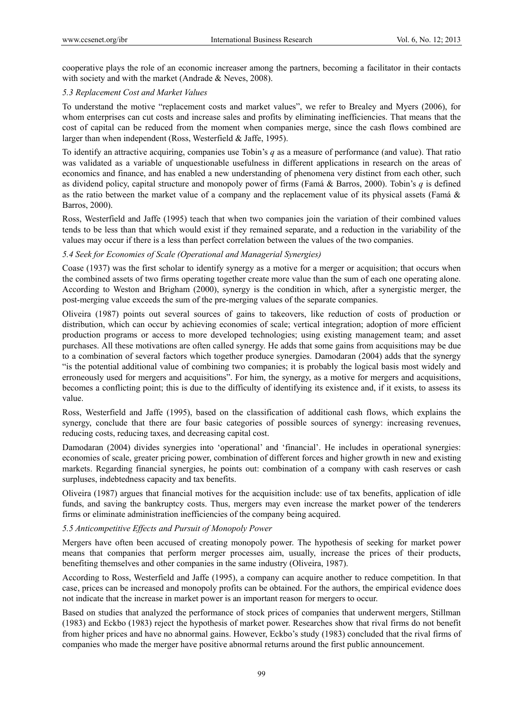cooperative plays the role of an economic increaser among the partners, becoming a facilitator in their contacts with society and with the market (Andrade & Neves, 2008).

# *5.3 Replacement Cost and Market Values*

To understand the motive "replacement costs and market values", we refer to Brealey and Myers (2006), for whom enterprises can cut costs and increase sales and profits by eliminating inefficiencies. That means that the cost of capital can be reduced from the moment when companies merge, since the cash flows combined are larger than when independent (Ross, Westerfield & Jaffe, 1995).

To identify an attractive acquiring, companies use Tobin's *q* as a measure of performance (and value). That ratio was validated as a variable of unquestionable usefulness in different applications in research on the areas of economics and finance, and has enabled a new understanding of phenomena very distinct from each other, such as dividend policy, capital structure and monopoly power of firms (Famá & Barros, 2000). Tobin's *q* is defined as the ratio between the market value of a company and the replacement value of its physical assets (Famá & Barros, 2000).

Ross, Westerfield and Jaffe (1995) teach that when two companies join the variation of their combined values tends to be less than that which would exist if they remained separate, and a reduction in the variability of the values may occur if there is a less than perfect correlation between the values of the two companies.

# *5.4 Seek for Economies of Scale (Operational and Managerial Synergies)*

Coase (1937) was the first scholar to identify synergy as a motive for a merger or acquisition; that occurs when the combined assets of two firms operating together create more value than the sum of each one operating alone. According to Weston and Brigham (2000), synergy is the condition in which, after a synergistic merger, the post-merging value exceeds the sum of the pre-merging values of the separate companies.

Oliveira (1987) points out several sources of gains to takeovers, like reduction of costs of production or distribution, which can occur by achieving economies of scale; vertical integration; adoption of more efficient production programs or access to more developed technologies; using existing management team; and asset purchases. All these motivations are often called synergy. He adds that some gains from acquisitions may be due to a combination of several factors which together produce synergies. Damodaran (2004) adds that the synergy "is the potential additional value of combining two companies; it is probably the logical basis most widely and erroneously used for mergers and acquisitions". For him, the synergy, as a motive for mergers and acquisitions, becomes a conflicting point; this is due to the difficulty of identifying its existence and, if it exists, to assess its value.

Ross, Westerfield and Jaffe (1995), based on the classification of additional cash flows, which explains the synergy, conclude that there are four basic categories of possible sources of synergy: increasing revenues, reducing costs, reducing taxes, and decreasing capital cost.

Damodaran (2004) divides synergies into 'operational' and 'financial'. He includes in operational synergies: economies of scale, greater pricing power, combination of different forces and higher growth in new and existing markets. Regarding financial synergies, he points out: combination of a company with cash reserves or cash surpluses, indebtedness capacity and tax benefits.

Oliveira (1987) argues that financial motives for the acquisition include: use of tax benefits, application of idle funds, and saving the bankruptcy costs. Thus, mergers may even increase the market power of the tenderers firms or eliminate administration inefficiencies of the company being acquired.

## *5.5 Anticompetitive Effects and Pursuit of Monopoly Power*

Mergers have often been accused of creating monopoly power. The hypothesis of seeking for market power means that companies that perform merger processes aim, usually, increase the prices of their products, benefiting themselves and other companies in the same industry (Oliveira, 1987).

According to Ross, Westerfield and Jaffe (1995), a company can acquire another to reduce competition. In that case, prices can be increased and monopoly profits can be obtained. For the authors, the empirical evidence does not indicate that the increase in market power is an important reason for mergers to occur.

Based on studies that analyzed the performance of stock prices of companies that underwent mergers, Stillman (1983) and Eckbo (1983) reject the hypothesis of market power. Researches show that rival firms do not benefit from higher prices and have no abnormal gains. However, Eckbo's study (1983) concluded that the rival firms of companies who made the merger have positive abnormal returns around the first public announcement.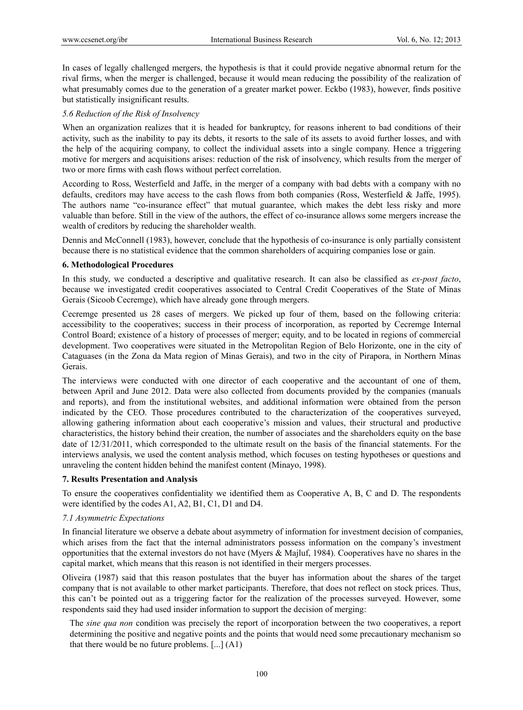In cases of legally challenged mergers, the hypothesis is that it could provide negative abnormal return for the rival firms, when the merger is challenged, because it would mean reducing the possibility of the realization of what presumably comes due to the generation of a greater market power. Eckbo (1983), however, finds positive but statistically insignificant results.

## *5.6 Reduction of the Risk of Insolvency*

When an organization realizes that it is headed for bankruptcy, for reasons inherent to bad conditions of their activity, such as the inability to pay its debts, it resorts to the sale of its assets to avoid further losses, and with the help of the acquiring company, to collect the individual assets into a single company. Hence a triggering motive for mergers and acquisitions arises: reduction of the risk of insolvency, which results from the merger of two or more firms with cash flows without perfect correlation.

According to Ross, Westerfield and Jaffe, in the merger of a company with bad debts with a company with no defaults, creditors may have access to the cash flows from both companies (Ross, Westerfield & Jaffe, 1995). The authors name "co-insurance effect" that mutual guarantee, which makes the debt less risky and more valuable than before. Still in the view of the authors, the effect of co-insurance allows some mergers increase the wealth of creditors by reducing the shareholder wealth.

Dennis and McConnell (1983), however, conclude that the hypothesis of co-insurance is only partially consistent because there is no statistical evidence that the common shareholders of acquiring companies lose or gain.

#### **6. Methodological Procedures**

In this study, we conducted a descriptive and qualitative research. It can also be classified as *ex-post facto*, because we investigated credit cooperatives associated to Central Credit Cooperatives of the State of Minas Gerais (Sicoob Cecremge), which have already gone through mergers.

Cecremge presented us 28 cases of mergers. We picked up four of them, based on the following criteria: accessibility to the cooperatives; success in their process of incorporation, as reported by Cecremge Internal Control Board; existence of a history of processes of merger; equity, and to be located in regions of commercial development. Two cooperatives were situated in the Metropolitan Region of Belo Horizonte, one in the city of Cataguases (in the Zona da Mata region of Minas Gerais), and two in the city of Pirapora, in Northern Minas Gerais.

The interviews were conducted with one director of each cooperative and the accountant of one of them, between April and June 2012. Data were also collected from documents provided by the companies (manuals and reports), and from the institutional websites, and additional information were obtained from the person indicated by the CEO. Those procedures contributed to the characterization of the cooperatives surveyed, allowing gathering information about each cooperative's mission and values, their structural and productive characteristics, the history behind their creation, the number of associates and the shareholders equity on the base date of 12/31/2011, which corresponded to the ultimate result on the basis of the financial statements. For the interviews analysis, we used the content analysis method, which focuses on testing hypotheses or questions and unraveling the content hidden behind the manifest content (Minayo, 1998).

#### **7. Results Presentation and Analysis**

To ensure the cooperatives confidentiality we identified them as Cooperative A, B, C and D. The respondents were identified by the codes A1, A2, B1, C1, D1 and D4.

# *7.1 Asymmetric Expectations*

In financial literature we observe a debate about asymmetry of information for investment decision of companies, which arises from the fact that the internal administrators possess information on the company's investment opportunities that the external investors do not have (Myers & Majluf, 1984). Cooperatives have no shares in the capital market, which means that this reason is not identified in their mergers processes.

Oliveira (1987) said that this reason postulates that the buyer has information about the shares of the target company that is not available to other market participants. Therefore, that does not reflect on stock prices. Thus, this can't be pointed out as a triggering factor for the realization of the processes surveyed. However, some respondents said they had used insider information to support the decision of merging:

The *sine qua non* condition was precisely the report of incorporation between the two cooperatives, a report determining the positive and negative points and the points that would need some precautionary mechanism so that there would be no future problems. [...] (A1)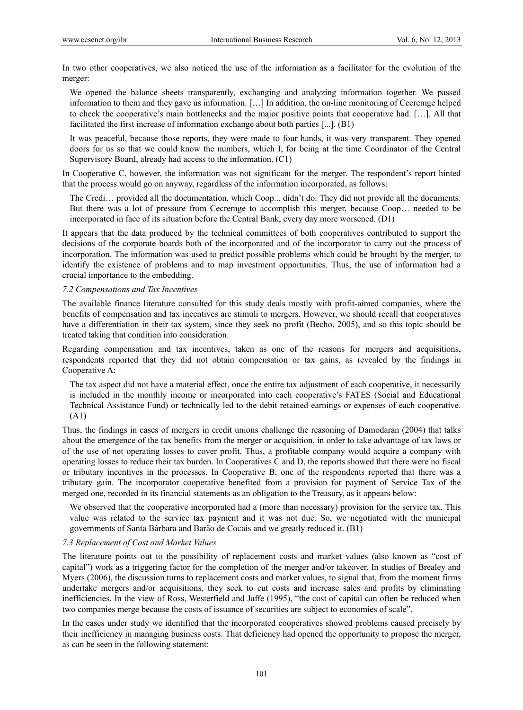In two other cooperatives, we also noticed the use of the information as a facilitator for the evolution of the merger:

We opened the balance sheets transparently, exchanging and analyzing information together. We passed information to them and they gave us information. […] In addition, the on-line monitoring of Cecremge helped to check the cooperative's main bottlenecks and the major positive points that cooperative had. […]. All that facilitated the first increase of information exchange about both parties [...]. (B1)

It was peaceful, because those reports, they were made to four hands, it was very transparent. They opened doors for us so that we could know the numbers, which I, for being at the time Coordinator of the Central Supervisory Board, already had access to the information. (C1)

In Cooperative C, however, the information was not significant for the merger. The respondent's report hinted that the process would go on anyway, regardless of the information incorporated, as follows:

The Credi… provided all the documentation, which Coop... didn't do. They did not provide all the documents. But there was a lot of pressure from Cecremge to accomplish this merger, because Coop… needed to be incorporated in face of its situation before the Central Bank, every day more worsened. (D1)

It appears that the data produced by the technical committees of both cooperatives contributed to support the decisions of the corporate boards both of the incorporated and of the incorporator to carry out the process of incorporation. The information was used to predict possible problems which could be brought by the merger, to identify the existence of problems and to map investment opportunities. Thus, the use of information had a crucial importance to the embedding.

#### *7.2 Compensations and Tax Incentives*

The available finance literature consulted for this study deals mostly with profit-aimed companies, where the benefits of compensation and tax incentives are stimuli to mergers. However, we should recall that cooperatives have a differentiation in their tax system, since they seek no profit (Becho, 2005), and so this topic should be treated taking that condition into consideration.

Regarding compensation and tax incentives, taken as one of the reasons for mergers and acquisitions, respondents reported that they did not obtain compensation or tax gains, as revealed by the findings in Cooperative A:

The tax aspect did not have a material effect, once the entire tax adjustment of each cooperative, it necessarily is included in the monthly income or incorporated into each cooperative's FATES (Social and Educational Technical Assistance Fund) or technically led to the debit retained earnings or expenses of each cooperative. (A1)

Thus, the findings in cases of mergers in credit unions challenge the reasoning of Damodaran (2004) that talks about the emergence of the tax benefits from the merger or acquisition, in order to take advantage of tax laws or of the use of net operating losses to cover profit. Thus, a profitable company would acquire a company with operating losses to reduce their tax burden. In Cooperatives C and D, the reports showed that there were no fiscal or tributary incentives in the processes. In Cooperative B, one of the respondents reported that there was a tributary gain. The incorporator cooperative benefited from a provision for payment of Service Tax of the merged one, recorded in its financial statements as an obligation to the Treasury, as it appears below:

We observed that the cooperative incorporated had a (more than necessary) provision for the service tax. This value was related to the service tax payment and it was not due. So, we negotiated with the municipal governments of Santa Bárbara and Barão de Cocais and we greatly reduced it. (B1)

#### *7.3 Replacement of Cost and Market Values*

The literature points out to the possibility of replacement costs and market values (also known as "cost of capital") work as a triggering factor for the completion of the merger and/or takeover. In studies of Brealey and Myers (2006), the discussion turns to replacement costs and market values, to signal that, from the moment firms undertake mergers and/or acquisitions, they seek to cut costs and increase sales and profits by eliminating inefficiencies. In the view of Ross, Westerfield and Jaffe (1995), "the cost of capital can often be reduced when two companies merge because the costs of issuance of securities are subject to economies of scale".

In the cases under study we identified that the incorporated cooperatives showed problems caused precisely by their inefficiency in managing business costs. That deficiency had opened the opportunity to propose the merger, as can be seen in the following statement: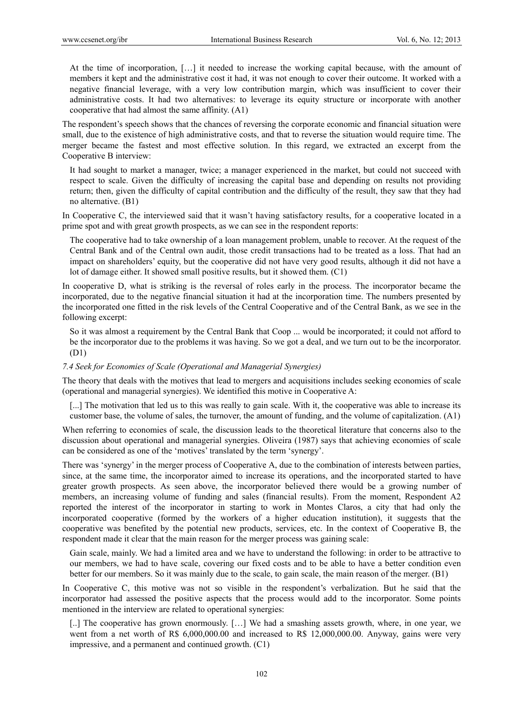At the time of incorporation, […] it needed to increase the working capital because, with the amount of members it kept and the administrative cost it had, it was not enough to cover their outcome. It worked with a negative financial leverage, with a very low contribution margin, which was insufficient to cover their administrative costs. It had two alternatives: to leverage its equity structure or incorporate with another cooperative that had almost the same affinity. (A1)

The respondent's speech shows that the chances of reversing the corporate economic and financial situation were small, due to the existence of high administrative costs, and that to reverse the situation would require time. The merger became the fastest and most effective solution. In this regard, we extracted an excerpt from the Cooperative B interview:

It had sought to market a manager, twice; a manager experienced in the market, but could not succeed with respect to scale. Given the difficulty of increasing the capital base and depending on results not providing return; then, given the difficulty of capital contribution and the difficulty of the result, they saw that they had no alternative. (B1)

In Cooperative C, the interviewed said that it wasn't having satisfactory results, for a cooperative located in a prime spot and with great growth prospects, as we can see in the respondent reports:

The cooperative had to take ownership of a loan management problem, unable to recover. At the request of the Central Bank and of the Central own audit, those credit transactions had to be treated as a loss. That had an impact on shareholders' equity, but the cooperative did not have very good results, although it did not have a lot of damage either. It showed small positive results, but it showed them. (C1)

In cooperative D, what is striking is the reversal of roles early in the process. The incorporator became the incorporated, due to the negative financial situation it had at the incorporation time. The numbers presented by the incorporated one fitted in the risk levels of the Central Cooperative and of the Central Bank, as we see in the following excerpt:

So it was almost a requirement by the Central Bank that Coop ... would be incorporated; it could not afford to be the incorporator due to the problems it was having. So we got a deal, and we turn out to be the incorporator. (D1)

#### *7.4 Seek for Economies of Scale (Operational and Managerial Synergies)*

The theory that deals with the motives that lead to mergers and acquisitions includes seeking economies of scale (operational and managerial synergies). We identified this motive in Cooperative A:

[...] The motivation that led us to this was really to gain scale. With it, the cooperative was able to increase its customer base, the volume of sales, the turnover, the amount of funding, and the volume of capitalization. (A1)

When referring to economies of scale, the discussion leads to the theoretical literature that concerns also to the discussion about operational and managerial synergies. Oliveira (1987) says that achieving economies of scale can be considered as one of the 'motives' translated by the term 'synergy'.

There was 'synergy' in the merger process of Cooperative A, due to the combination of interests between parties, since, at the same time, the incorporator aimed to increase its operations, and the incorporated started to have greater growth prospects. As seen above, the incorporator believed there would be a growing number of members, an increasing volume of funding and sales (financial results). From the moment, Respondent A2 reported the interest of the incorporator in starting to work in Montes Claros, a city that had only the incorporated cooperative (formed by the workers of a higher education institution), it suggests that the cooperative was benefited by the potential new products, services, etc. In the context of Cooperative B, the respondent made it clear that the main reason for the merger process was gaining scale:

Gain scale, mainly. We had a limited area and we have to understand the following: in order to be attractive to our members, we had to have scale, covering our fixed costs and to be able to have a better condition even better for our members. So it was mainly due to the scale, to gain scale, the main reason of the merger. (B1)

In Cooperative C, this motive was not so visible in the respondent's verbalization. But he said that the incorporator had assessed the positive aspects that the process would add to the incorporator. Some points mentioned in the interview are related to operational synergies:

[..] The cooperative has grown enormously. […] We had a smashing assets growth, where, in one year, we went from a net worth of R\$ 6,000,000.00 and increased to R\$ 12,000,000.00. Anyway, gains were very impressive, and a permanent and continued growth. (C1)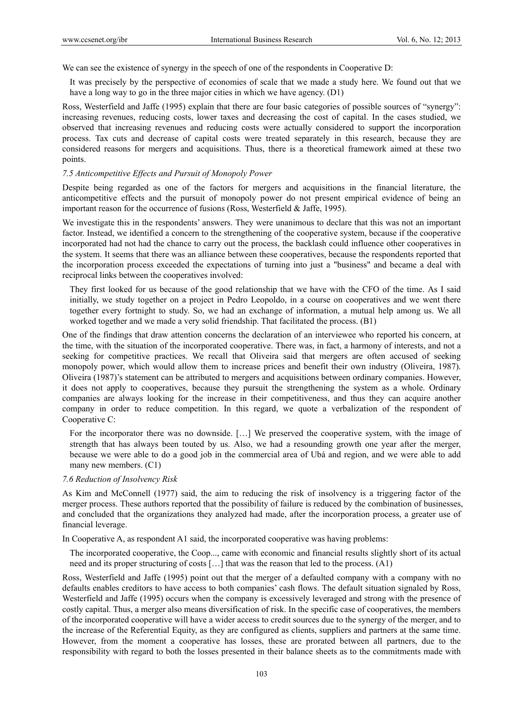We can see the existence of synergy in the speech of one of the respondents in Cooperative D:

It was precisely by the perspective of economies of scale that we made a study here. We found out that we have a long way to go in the three major cities in which we have agency. (D1)

Ross, Westerfield and Jaffe (1995) explain that there are four basic categories of possible sources of "synergy": increasing revenues, reducing costs, lower taxes and decreasing the cost of capital. In the cases studied, we observed that increasing revenues and reducing costs were actually considered to support the incorporation process. Tax cuts and decrease of capital costs were treated separately in this research, because they are considered reasons for mergers and acquisitions. Thus, there is a theoretical framework aimed at these two points.

## *7.5 Anticompetitive Effects and Pursuit of Monopoly Power*

Despite being regarded as one of the factors for mergers and acquisitions in the financial literature, the anticompetitive effects and the pursuit of monopoly power do not present empirical evidence of being an important reason for the occurrence of fusions (Ross, Westerfield  $&$  Jaffe, 1995).

We investigate this in the respondents' answers. They were unanimous to declare that this was not an important factor. Instead, we identified a concern to the strengthening of the cooperative system, because if the cooperative incorporated had not had the chance to carry out the process, the backlash could influence other cooperatives in the system. It seems that there was an alliance between these cooperatives, because the respondents reported that the incorporation process exceeded the expectations of turning into just a "business" and became a deal with reciprocal links between the cooperatives involved:

They first looked for us because of the good relationship that we have with the CFO of the time. As I said initially, we study together on a project in Pedro Leopoldo, in a course on cooperatives and we went there together every fortnight to study. So, we had an exchange of information, a mutual help among us. We all worked together and we made a very solid friendship. That facilitated the process. (B1)

One of the findings that draw attention concerns the declaration of an interviewee who reported his concern, at the time, with the situation of the incorporated cooperative. There was, in fact, a harmony of interests, and not a seeking for competitive practices. We recall that Oliveira said that mergers are often accused of seeking monopoly power, which would allow them to increase prices and benefit their own industry (Oliveira, 1987). Oliveira (1987)'s statement can be attributed to mergers and acquisitions between ordinary companies. However, it does not apply to cooperatives, because they pursuit the strengthening the system as a whole. Ordinary companies are always looking for the increase in their competitiveness, and thus they can acquire another company in order to reduce competition. In this regard, we quote a verbalization of the respondent of Cooperative C:

For the incorporator there was no downside. […] We preserved the cooperative system, with the image of strength that has always been touted by us. Also, we had a resounding growth one year after the merger, because we were able to do a good job in the commercial area of Ubá and region, and we were able to add many new members. (C1)

#### *7.6 Reduction of Insolvency Risk*

As Kim and McConnell (1977) said, the aim to reducing the risk of insolvency is a triggering factor of the merger process. These authors reported that the possibility of failure is reduced by the combination of businesses, and concluded that the organizations they analyzed had made, after the incorporation process, a greater use of financial leverage.

In Cooperative A, as respondent A1 said, the incorporated cooperative was having problems:

The incorporated cooperative, the Coop..., came with economic and financial results slightly short of its actual need and its proper structuring of costs […] that was the reason that led to the process. (A1)

Ross, Westerfield and Jaffe (1995) point out that the merger of a defaulted company with a company with no defaults enables creditors to have access to both companies' cash flows. The default situation signaled by Ross, Westerfield and Jaffe (1995) occurs when the company is excessively leveraged and strong with the presence of costly capital. Thus, a merger also means diversification of risk. In the specific case of cooperatives, the members of the incorporated cooperative will have a wider access to credit sources due to the synergy of the merger, and to the increase of the Referential Equity, as they are configured as clients, suppliers and partners at the same time. However, from the moment a cooperative has losses, these are prorated between all partners, due to the responsibility with regard to both the losses presented in their balance sheets as to the commitments made with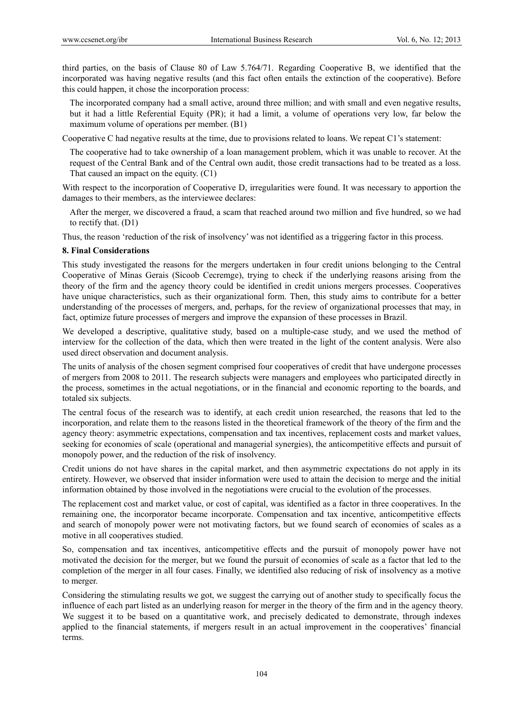third parties, on the basis of Clause 80 of Law 5.764/71. Regarding Cooperative B, we identified that the incorporated was having negative results (and this fact often entails the extinction of the cooperative). Before this could happen, it chose the incorporation process:

The incorporated company had a small active, around three million; and with small and even negative results, but it had a little Referential Equity (PR); it had a limit, a volume of operations very low, far below the maximum volume of operations per member. (B1)

Cooperative C had negative results at the time, due to provisions related to loans. We repeat C1's statement:

The cooperative had to take ownership of a loan management problem, which it was unable to recover. At the request of the Central Bank and of the Central own audit, those credit transactions had to be treated as a loss. That caused an impact on the equity. (C1)

With respect to the incorporation of Cooperative D, irregularities were found. It was necessary to apportion the damages to their members, as the interviewee declares:

After the merger, we discovered a fraud, a scam that reached around two million and five hundred, so we had to rectify that. (D1)

Thus, the reason 'reduction of the risk of insolvency' was not identified as a triggering factor in this process.

#### **8. Final Considerations**

This study investigated the reasons for the mergers undertaken in four credit unions belonging to the Central Cooperative of Minas Gerais (Sicoob Cecremge), trying to check if the underlying reasons arising from the theory of the firm and the agency theory could be identified in credit unions mergers processes. Cooperatives have unique characteristics, such as their organizational form. Then, this study aims to contribute for a better understanding of the processes of mergers, and, perhaps, for the review of organizational processes that may, in fact, optimize future processes of mergers and improve the expansion of these processes in Brazil.

We developed a descriptive, qualitative study, based on a multiple-case study, and we used the method of interview for the collection of the data, which then were treated in the light of the content analysis. Were also used direct observation and document analysis.

The units of analysis of the chosen segment comprised four cooperatives of credit that have undergone processes of mergers from 2008 to 2011. The research subjects were managers and employees who participated directly in the process, sometimes in the actual negotiations, or in the financial and economic reporting to the boards, and totaled six subjects.

The central focus of the research was to identify, at each credit union researched, the reasons that led to the incorporation, and relate them to the reasons listed in the theoretical framework of the theory of the firm and the agency theory: asymmetric expectations, compensation and tax incentives, replacement costs and market values, seeking for economies of scale (operational and managerial synergies), the anticompetitive effects and pursuit of monopoly power, and the reduction of the risk of insolvency.

Credit unions do not have shares in the capital market, and then asymmetric expectations do not apply in its entirety. However, we observed that insider information were used to attain the decision to merge and the initial information obtained by those involved in the negotiations were crucial to the evolution of the processes.

The replacement cost and market value, or cost of capital, was identified as a factor in three cooperatives. In the remaining one, the incorporator became incorporate. Compensation and tax incentive, anticompetitive effects and search of monopoly power were not motivating factors, but we found search of economies of scales as a motive in all cooperatives studied.

So, compensation and tax incentives, anticompetitive effects and the pursuit of monopoly power have not motivated the decision for the merger, but we found the pursuit of economies of scale as a factor that led to the completion of the merger in all four cases. Finally, we identified also reducing of risk of insolvency as a motive to merger.

Considering the stimulating results we got, we suggest the carrying out of another study to specifically focus the influence of each part listed as an underlying reason for merger in the theory of the firm and in the agency theory. We suggest it to be based on a quantitative work, and precisely dedicated to demonstrate, through indexes applied to the financial statements, if mergers result in an actual improvement in the cooperatives' financial terms.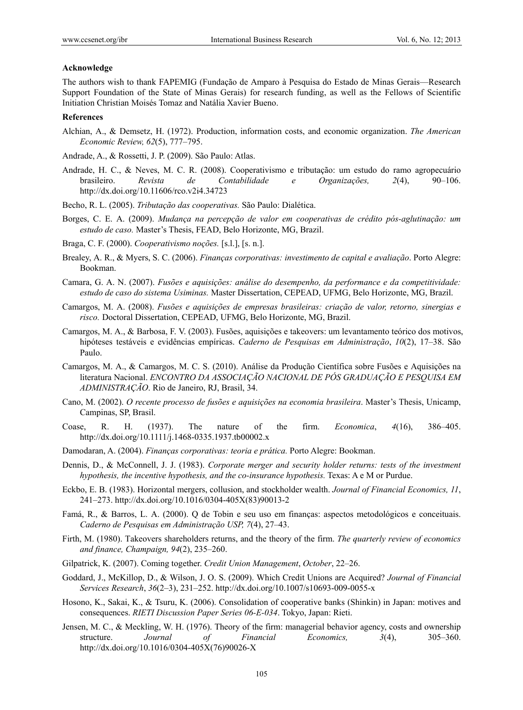#### **Acknowledge**

The authors wish to thank FAPEMIG (Fundação de Amparo à Pesquisa do Estado de Minas Gerais—Research Support Foundation of the State of Minas Gerais) for research funding, as well as the Fellows of Scientific Initiation Christian Moisés Tomaz and Natália Xavier Bueno.

#### **References**

Alchian, A., & Demsetz, H. (1972). Production, information costs, and economic organization. *The American Economic Review, 62*(5), 777–795.

Andrade, A., & Rossetti, J. P. (2009). São Paulo: Atlas.

- Andrade, H. C., & Neves, M. C. R. (2008). Cooperativismo e tributação: um estudo do ramo agropecuário brasileiro. *Revista de Contabilidade e Organizações, 2*(4), 90–106. http://dx.doi.org/10.11606/rco.v2i4.34723
- Becho, R. L. (2005). *Tributação das cooperativas.* São Paulo: Dialética.
- Borges, C. E. A. (2009). *Mudança na percepção de valor em cooperativas de crédito pós-aglutinação: um estudo de caso.* Master's Thesis, FEAD, Belo Horizonte, MG, Brazil.
- Braga, C. F. (2000). *Cooperativismo noções.* [s.l.], [s. n.].
- Brealey, A. R., & Myers, S. C. (2006). *Finanças corporativas: investimento de capital e avaliação*. Porto Alegre: Bookman.
- Camara, G. A. N. (2007). *Fusões e aquisições: análise do desempenho, da performance e da competitividade: estudo de caso do sistema Usiminas.* Master Dissertation, CEPEAD, UFMG, Belo Horizonte, MG, Brazil.
- Camargos, M. A. (2008). *Fusões e aquisições de empresas brasileiras: criação de valor, retorno, sinergias e risco.* Doctoral Dissertation, CEPEAD, UFMG, Belo Horizonte, MG, Brazil.
- Camargos, M. A., & Barbosa, F. V. (2003). Fusões, aquisições e takeovers: um levantamento teórico dos motivos, hipóteses testáveis e evidências empíricas. *Caderno de Pesquisas em Administração*, *10*(2), 17–38. São Paulo.
- Camargos, M. A., & Camargos, M. C. S. (2010). Análise da Produção Científica sobre Fusões e Aquisições na literatura Nacional. *ENCONTRO DA ASSOCIAÇÃO NACIONAL DE PÓS GRADUAÇÃO E PESQUISA EM ADMINISTRAÇÃO*. Rio de Janeiro, RJ, Brasil, 34.
- Cano, M. (2002). *O recente processo de fusões e aquisições na economia brasileira*. Master's Thesis, Unicamp, Campinas, SP, Brasil.
- Coase, R. H. (1937). The nature of the firm. *Economica*, *4*(16), 386–405. http://dx.doi.org/10.1111/j.1468-0335.1937.tb00002.x
- Damodaran, A. (2004). *Finanças corporativas: teoria e prática.* Porto Alegre: Bookman.
- Dennis, D., & McConnell, J. J. (1983). *Corporate merger and security holder returns: tests of the investment hypothesis, the incentive hypothesis, and the co-insurance hypothesis.* Texas: A e M or Purdue.
- Eckbo, E. B. (1983). Horizontal mergers, collusion, and stockholder wealth. *Journal of Financial Economics, 11*, 241–273. http://dx.doi.org/10.1016/0304-405X(83)90013-2
- Famá, R., & Barros, L. A. (2000). Q de Tobin e seu uso em finanças: aspectos metodológicos e conceituais. *Caderno de Pesquisas em Administração USP, 7*(4), 27–43.
- Firth, M. (1980). Takeovers shareholders returns, and the theory of the firm. *The quarterly review of economics and finance, Champaign, 94*(2), 235–260.
- Gilpatrick, K. (2007). Coming together. *Credit Union Management*, *October*, 22–26.
- Goddard, J., McKillop, D., & Wilson, J. O. S. (2009). Which Credit Unions are Acquired? *Journal of Financial Services Research*, *36*(2–3), 231–252. http://dx.doi.org/10.1007/s10693-009-0055-x
- Hosono, K., Sakai, K., & Tsuru, K. (2006). Consolidation of cooperative banks (Shinkin) in Japan: motives and consequences. *RIETI Discussion Paper Series 06-E-034*. Tokyo, Japan: Rieti.
- Jensen, M. C., & Meckling, W. H. (1976). Theory of the firm: managerial behavior agency, costs and ownership structure. *Journal of Financial Economics, 3*(4), 305–360. http://dx.doi.org/10.1016/0304-405X(76)90026-X